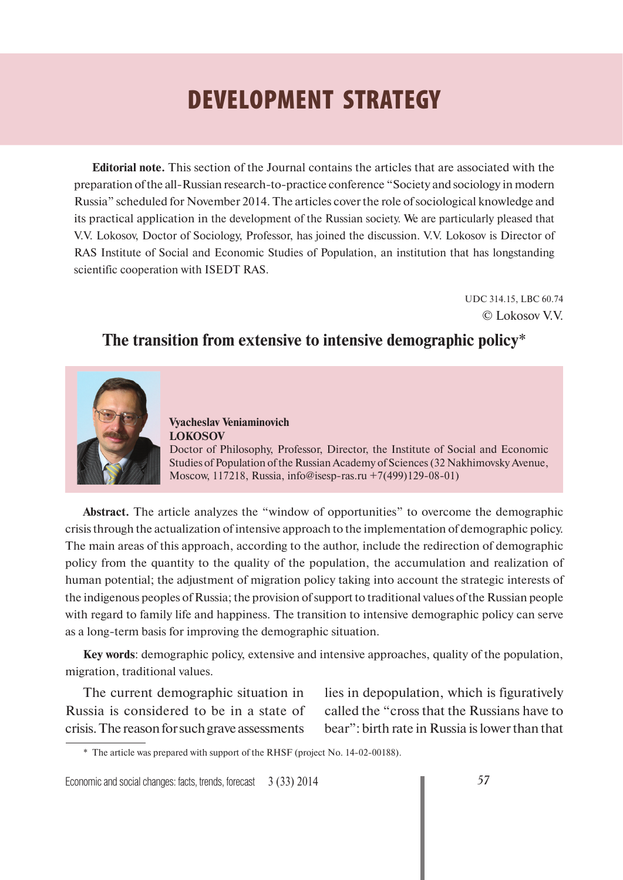# **DEVELOPMENT STRATEGY**

**Editorial note.** This section of the Journal contains the articles that are associated with the preparation of the all-Russian research-to-practice conference "Society and sociology in modern Russia" scheduled for November 2014. The articles cover the role of sociological knowledge and its practical application in the development of the Russian society. We are particularly pleased that V.V. Lokosov, Doctor of Sociology, Professor, has joined the discussion. V.V. Lokosov is Director of RAS Institute of Social and Economic Studies of Population, an institution that has longstanding scientific cooperation with ISEDT RAS.

> UDC 314.15, LBC 60.74 © Lokosov V.V.

## **The transition from extensive to intensive demographic policy**\*



**Vyacheslav Veniaminovich LOKOSOV**  Doctor of Philosophy, Professor, Director, the Institute of Social and Economic Studies of Population of the Russian Academy of Sciences (32 Nakhimovsky Avenue, Moscow, 117218, Russia, info@isesp-ras.ru +7(499)129-08-01)

**Abstract.** The article analyzes the "window of opportunities" to overcome the demographic crisis through the actualization of intensive approach to the implementation of demographic policy. The main areas of this approach, according to the author, include the redirection of demographic policy from the quantity to the quality of the population, the accumulation and realization of human potential; the adjustment of migration policy taking into account the strategic interests of the indigenous peoples of Russia; the provision of support to traditional values of the Russian people with regard to family life and happiness. The transition to intensive demographic policy can serve as a long-term basis for improving the demographic situation.

**Key words**: demographic policy, extensive and intensive approaches, quality of the population, migration, traditional values.

The current demographic situation in Russia is considered to be in a state of crisis. The reason for such grave assessments

lies in depopulation, which is figuratively called the "cross that the Russians have to bear": birth rate in Russia is lower than that

Economic and social changes: facts, trends, forecast 3 (33) 2014 *57*

<sup>\*</sup> The article was prepared with support of the RHSF (project No. 14-02-00188).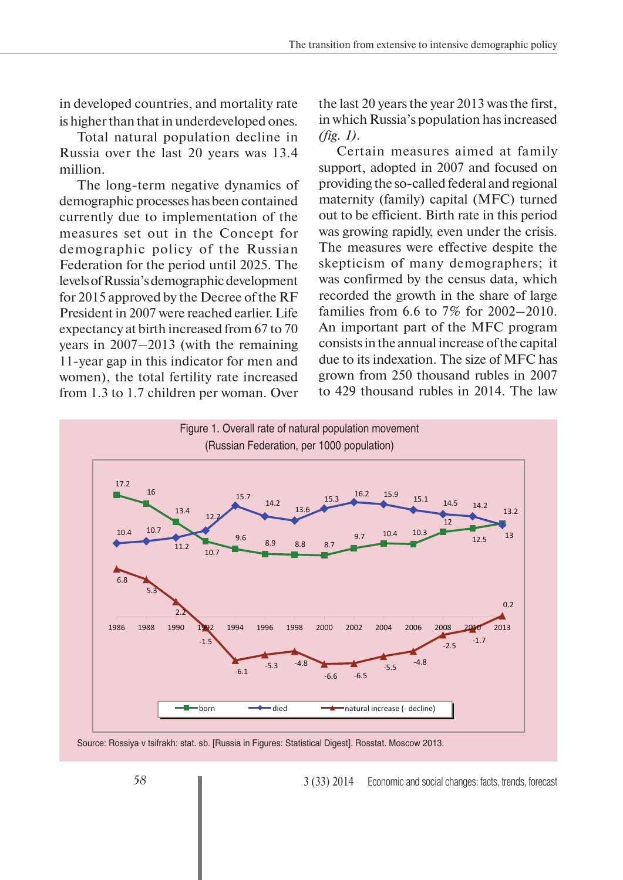in developed countries, and mortality rate is higher than that in underdeveloped ones.

Total natural population decline in Russia over the last 20 years was 13.4 million.

The long-term negative dynamics of demographic processes has been contained currently due to implementation of the measures set out in the Concept for demographic policy of the Russian Federation for the period until 2025. The levels of Russia's demographic development for 2015 approved by the Decree of the RF President in 2007 were reached earlier. Life expectancy at birth increased from 67 to 70 years in 2007–2013 (with the remaining 11-year gap in this indicator for men and women), the total fertility rate increased from 1.3 to 1.7 children per woman. Over

the last 20 years the year 2013 was the first, in which Russia's population has increased *(fig. 1)*.

Certain measures aimed at family support, adopted in 2007 and focused on providing the so-called federal and regional maternity (family) capital (MFC) turned out to be efficient. Birth rate in this period was growing rapidly, even under the crisis. The measures were effective despite the skepticism of many demographers; it was confirmed by the census data, which recorded the growth in the share of large families from 6.6 to 7% for 2002–2010. An important part of the MFC program consists in the annual increase of the capital due to its indexation. The size of MFC has grown from 250 thousand rubles in 2007 to 429 thousand rubles in 2014. The law



Source: Rossiya v tsifrakh: stat. sb. [Russia in Figures: Statistical Digest]. Rosstat. Moscow 2013.

3 (33) 2014 Economic and social changes: facts, trends, forecast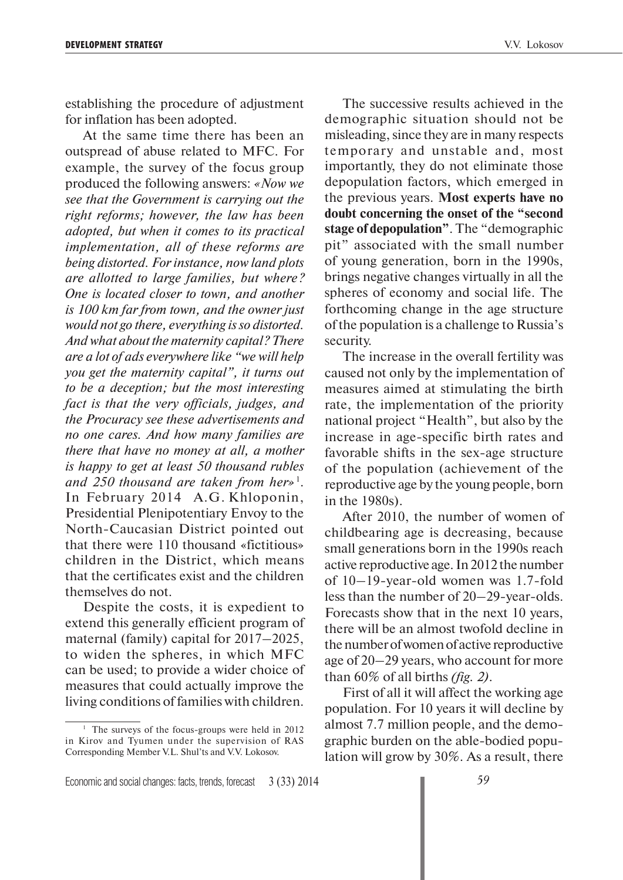establishing the procedure of adjustment for inflation has been adopted.

At the same time there has been an outspread of abuse related to MFC. For example, the survey of the focus group produced the following answers: *«Now we see that the Government is carrying out the right reforms; however, the law has been adopted, but when it comes to its practical implementation, all of these reforms are being distorted. For instance, now land plots are allotted to large families, but where? One is located closer to town, and another is 100 km far from town, and the owner just would not go there, everything is so distorted. And what about the maternity capital? There are a lot of ads everywhere like "we will help you get the maternity capital", it turns out to be a deception; but the most interesting fact is that the very officials, judges, and the Procuracy see these advertisements and no one cares. And how many families are there that have no money at all, a mother is happy to get at least 50 thousand rubles and 250 thousand are taken from her»* 1. In February 2014 A.G. Khloponin, Presidential Plenipotentiary Envoy to the North-Caucasian District pointed out that there were 110 thousand «fictitious» children in the District, which means that the certificates exist and the children themselves do not.

Despite the costs, it is expedient to extend this generally efficient program of maternal (family) capital for 2017–2025, to widen the spheres, in which MFC can be used; to provide a wider choice of measures that could actually improve the living conditions of families with children.

The successive results achieved in the demographic situation should not be misleading, since they are in many respects temporary and unstable and, most importantly, they do not eliminate those depopulation factors, which emerged in the previous years. **Most experts have no doubt concerning the onset of the "second stage of depopulation"**. The "demographic pit" associated with the small number of young generation, born in the 1990s, brings negative changes virtually in all the spheres of economy and social life. The forthcoming change in the age structure of the population is a challenge to Russia's security.

The increase in the overall fertility was caused not only by the implementation of measures aimed at stimulating the birth rate, the implementation of the priority national project "Health", but also by the increase in age-specific birth rates and favorable shifts in the sex-age structure of the population (achievement of the reproductive age by the young people, born in the 1980s).

After 2010, the number of women of childbearing age is decreasing, because small generations born in the 1990s reach active reproductive age. In 2012 the number of 10–19-year-old women was 1.7-fold less than the number of 20–29-year-olds. Forecasts show that in the next 10 years, there will be an almost twofold decline in the number of women of active reproductive age of 20–29 years, who account for more than 60% of all births *(fig. 2)*.

First of all it will affect the working age population. For 10 years it will decline by almost 7.7 million people, and the demographic burden on the able-bodied population will grow by 30%. As a result, there

<sup>&</sup>lt;sup>1</sup> The surveys of the focus-groups were held in 2012 in Kirov and Tyumen under the supervision of RAS Corresponding Member V.L. Shul'ts and V.V. Lokosov.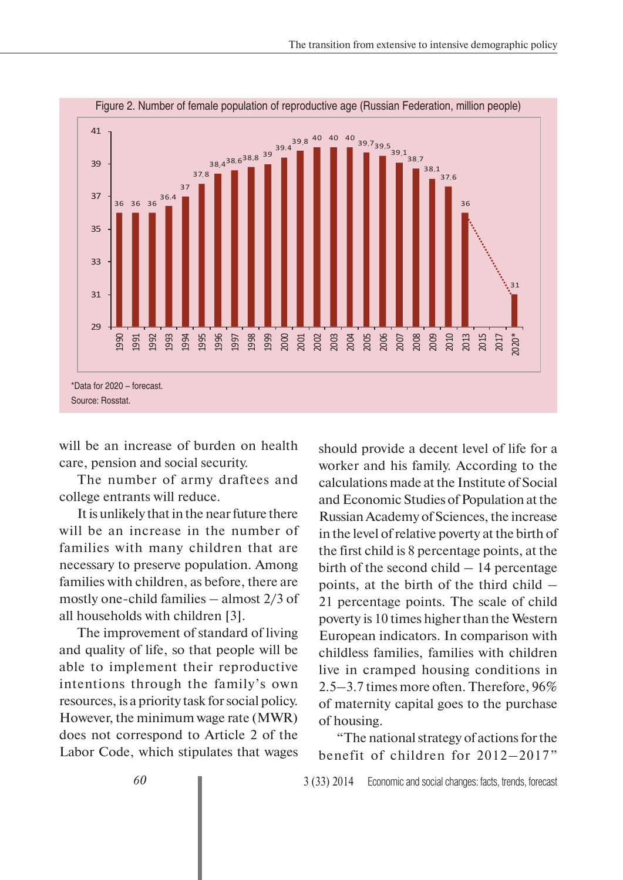

will be an increase of burden on health care, pension and social security.

The number of army draftees and college entrants will reduce.

It is unlikely that in the near future there will be an increase in the number of families with many children that are necessary to preserve population. Among families with children, as before, there are mostly one-child families – almost 2/3 of all households with children [3].

The improvement of standard of living and quality of life, so that people will be able to implement their reproductive intentions through the family's own resources, is a priority task for social policy. However, the minimum wage rate (MWR) does not correspond to Article 2 of the Labor Code, which stipulates that wages should provide a decent level of life for a worker and his family. According to the calculations made at the Institute of Social and Economic Studies of Population at the Russian Academy of Sciences, the increase in the level of relative poverty at the birth of the first child is 8 percentage points, at the birth of the second child – 14 percentage points, at the birth of the third child – 21 percentage points. The scale of child poverty is 10 times higher than the Western European indicators. In comparison with childless families, families with children live in cramped housing conditions in 2.5–3.7 times more often. Therefore, 96% of maternity capital goes to the purchase of housing.

"The national strategy of actions for the benefit of children for 2012–2017"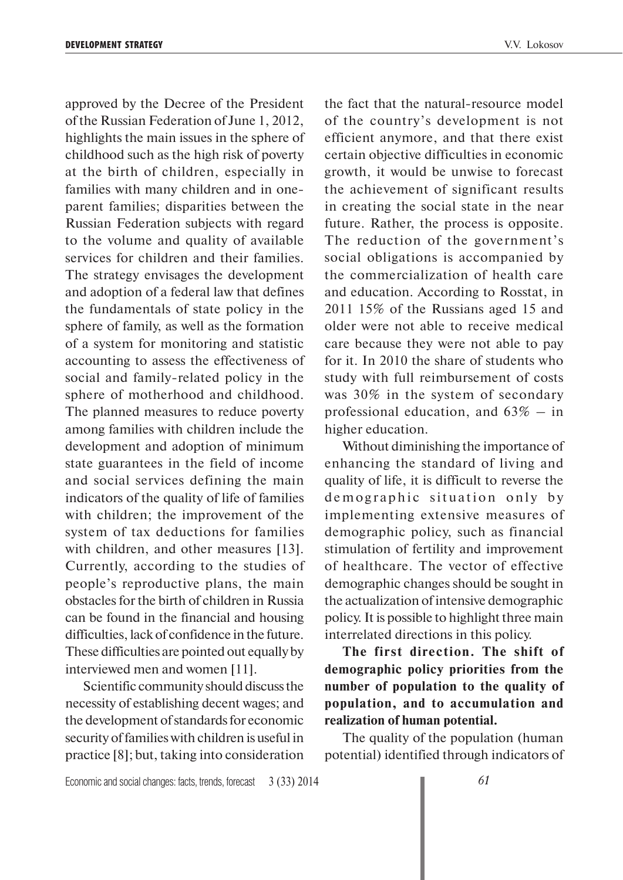approved by the Decree of the President of the Russian Federation of June 1, 2012, highlights the main issues in the sphere of childhood such as the high risk of poverty at the birth of children, especially in families with many children and in oneparent families; disparities between the Russian Federation subjects with regard to the volume and quality of available services for children and their families. The strategy envisages the development and adoption of a federal law that defines the fundamentals of state policy in the sphere of family, as well as the formation of a system for monitoring and statistic accounting to assess the effectiveness of social and family-related policy in the sphere of motherhood and childhood. The planned measures to reduce poverty among families with children include the development and adoption of minimum state guarantees in the field of income and social services defining the main indicators of the quality of life of families with children; the improvement of the system of tax deductions for families with children, and other measures [13]. Currently, according to the studies of people's reproductive plans, the main obstacles for the birth of children in Russia can be found in the financial and housing difficulties, lack of confidence in the future. These difficulties are pointed out equally by interviewed men and women [11].

Scientific community should discuss the necessity of establishing decent wages; and the development of standards for economic security of families with children is useful in practice [8]; but, taking into consideration

the fact that the natural-resource model of the country's development is not efficient anymore, and that there exist certain objective difficulties in economic growth, it would be unwise to forecast the achievement of significant results in creating the social state in the near future. Rather, the process is opposite. The reduction of the government's social obligations is accompanied by the commercialization of health care and education. According to Rosstat, in 2011 15% of the Russians aged 15 and older were not able to receive medical care because they were not able to pay for it. In 2010 the share of students who study with full reimbursement of costs was 30% in the system of secondary professional education, and  $63\%$  – in higher education.

Without diminishing the importance of enhancing the standard of living and quality of life, it is difficult to reverse the demographic situation only by implementing extensive measures of demographic policy, such as financial stimulation of fertility and improvement of healthcare. The vector of effective demographic changes should be sought in the actualization of intensive demographic policy. It is possible to highlight three main interrelated directions in this policy.

**The first direction. The shift of demographic policy priorities from the number of population to the quality of population, and to accumulation and realization of human potential.**

The quality of the population (human potential) identified through indicators of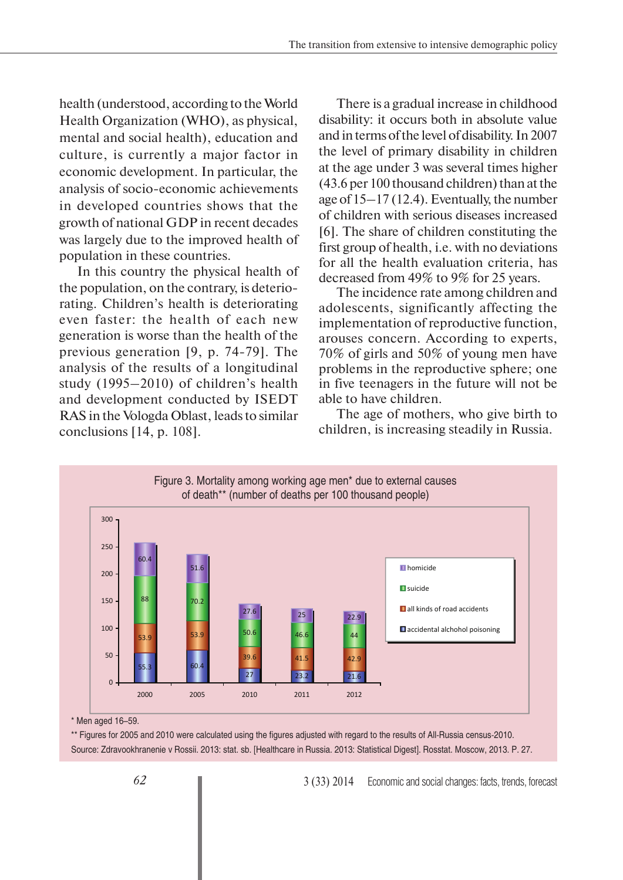health (understood, according to the World Health Organization (WHO), as physical, mental and social health), education and culture, is currently a major factor in economic development. In particular, the analysis of socio-economic achievements in developed countries shows that the growth of national GDP in recent decades was largely due to the improved health of population in these countries.

In this country the physical health of the population, on the contrary, is deteriorating. Children's health is deteriorating even faster: the health of each new generation is worse than the health of the previous generation [9, p. 74-79]. The analysis of the results of a longitudinal study (1995–2010) of children's health and development conducted by ISEDT RAS in the Vologda Oblast, leads to similar conclusions [14, p. 108].

There is a gradual increase in childhood disability: it occurs both in absolute value and in terms of the level of disability. In 2007 the level of primary disability in children at the age under 3 was several times higher (43.6 per 100 thousand children) than at the age of 15–17 (12.4). Eventually, the number of children with serious diseases increased [6]. The share of children constituting the first group of health, i.e. with no deviations for all the health evaluation criteria, has decreased from 49% to 9% for 25 years.

The incidence rate among children and adolescents, significantly affecting the implementation of reproductive function, arouses concern. According to experts, 70% of girls and 50% of young men have problems in the reproductive sphere; one in five teenagers in the future will not be able to have children.

The age of mothers, who give birth to children, is increasing steadily in Russia.



\* Men aged 16–59.

\*\* Figures for 2005 and 2010 were calculated using the figures adjusted with regard to the results of All-Russia census-2010. Source: Zdravookhranenie v Rossii. 2013: stat. sb. [Healthcare in Russia. 2013: Statistical Digest]. Rosstat. Moscow, 2013. P. 27.

3 (33) 2014 Economic and social changes: facts, trends, forecast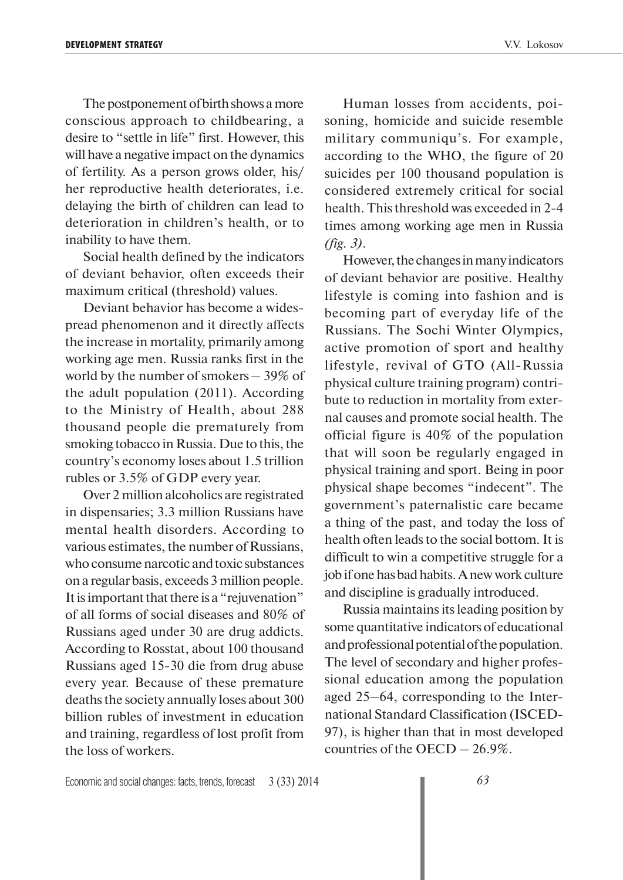The postponement of birth shows a more conscious approach to childbearing, a desire to "settle in life" first. However, this will have a negative impact on the dynamics of fertility. As a person grows older, his/ her reproductive health deteriorates, i.e. delaying the birth of children can lead to deterioration in children's health, or to inability to have them.

Social health defined by the indicators of deviant behavior, often exceeds their maximum critical (threshold) values.

Deviant behavior has become a widespread phenomenon and it directly affects the increase in mortality, primarily among working age men. Russia ranks first in the world by the number of smokers – 39% of the adult population (2011). According to the Ministry of Health, about 288 thousand people die prematurely from smoking tobacco in Russia. Due to this, the country's economy loses about 1.5 trillion rubles or 3.5% of GDP every year.

Over 2 million alcoholics are registrated in dispensaries; 3.3 million Russians have mental health disorders. According to various estimates, the number of Russians, who consume narcotic and toxic substances on a regular basis, exceeds 3 million people. It is important that there is a "rejuvenation" of all forms of social diseases and 80% of Russians aged under 30 are drug addicts. According to Rosstat, about 100 thousand Russians aged 15-30 die from drug abuse every year. Because of these premature deaths the society annually loses about 300 billion rubles of investment in education and training, regardless of lost profit from the loss of workers.

Human losses from accidents, poisoning, homicide and suicide resemble military communiqu's. For example, according to the WHO, the figure of 20 suicides per 100 thousand population is considered extremely critical for social health. This threshold was exceeded in 2-4 times among working age men in Russia *(fig. 3)*.

However, the changes in many indicators of deviant behavior are positive. Healthy lifestyle is coming into fashion and is becoming part of everyday life of the Russians. The Sochi Winter Olympics, active promotion of sport and healthy lifestyle, revival of GTO (All-Russia physical culture training program) contribute to reduction in mortality from external causes and promote social health. The official figure is 40% of the population that will soon be regularly engaged in physical training and sport. Being in poor physical shape becomes "indecent". The government's paternalistic care became a thing of the past, and today the loss of health often leads to the social bottom. It is difficult to win a competitive struggle for a job if one has bad habits. A new work culture and discipline is gradually introduced.

Russia maintains its leading position by some quantitative indicators of educational and professional potential of the population. The level of secondary and higher professional education among the population aged 25–64, corresponding to the International Standard Classification (ISCED-97), is higher than that in most developed countries of the OECD – 26.9%.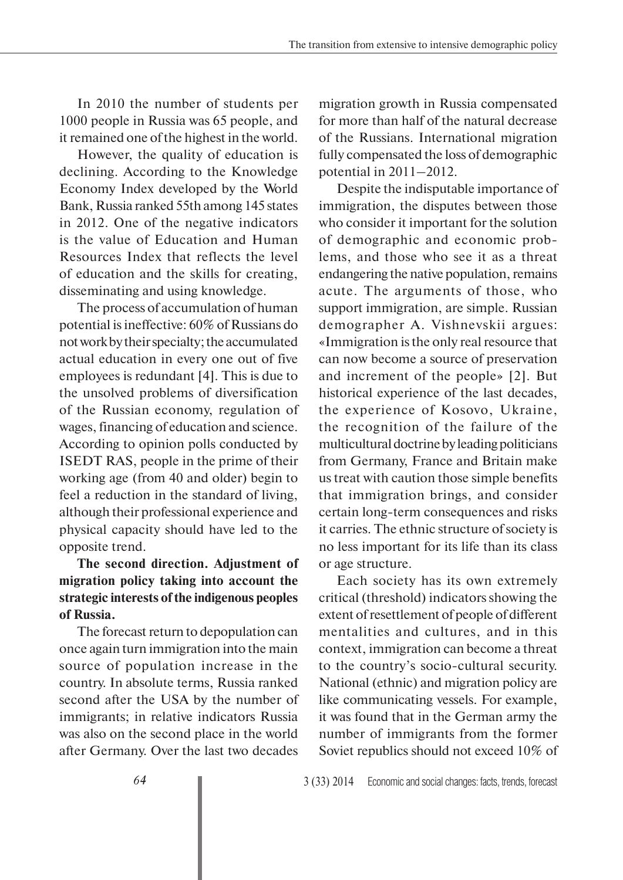In 2010 the number of students per 1000 people in Russia was 65 people, and it remained one of the highest in the world.

However, the quality of education is declining. According to the Knowledge Economy Index developed by the World Bank, Russia ranked 55th among 145 states in 2012. One of the negative indicators is the value of Education and Human Resources Index that reflects the level of education and the skills for creating, disseminating and using knowledge.

The process of accumulation of human potential is ineffective: 60% of Russians do not work by their specialty; the accumulated actual education in every one out of five employees is redundant [4]. This is due to the unsolved problems of diversification of the Russian economy, regulation of wages, financing of education and science. According to opinion polls conducted by ISEDT RAS, people in the prime of their working age (from 40 and older) begin to feel a reduction in the standard of living, although their professional experience and physical capacity should have led to the opposite trend.

### **The second direction. Adjustment of migration policy taking into account the strategic interests of the indigenous peoples of Russia.**

The forecast return to depopulation can once again turn immigration into the main source of population increase in the country. In absolute terms, Russia ranked second after the USA by the number of immigrants; in relative indicators Russia was also on the second place in the world after Germany. Over the last two decades

migration growth in Russia compensated for more than half of the natural decrease of the Russians. International migration fully compensated the loss of demographic potential in 2011–2012.

Despite the indisputable importance of immigration, the disputes between those who consider it important for the solution of demographic and economic problems, and those who see it as a threat endangering the native population, remains acute. The arguments of those, who support immigration, are simple. Russian demographer A. Vishnevskii argues: «Immigration is the only real resource that can now become a source of preservation and increment of the people» [2]. But historical experience of the last decades, the experience of Kosovo, Ukraine, the recognition of the failure of the multicultural doctrine by leading politicians from Germany, France and Britain make us treat with caution those simple benefits that immigration brings, and consider certain long-term consequences and risks it carries. The ethnic structure of society is no less important for its life than its class or age structure.

Each society has its own extremely critical (threshold) indicators showing the extent of resettlement of people of different mentalities and cultures, and in this context, immigration can become a threat to the country's socio-cultural security. National (ethnic) and migration policy are like communicating vessels. For example, it was found that in the German army the number of immigrants from the former Soviet republics should not exceed 10% of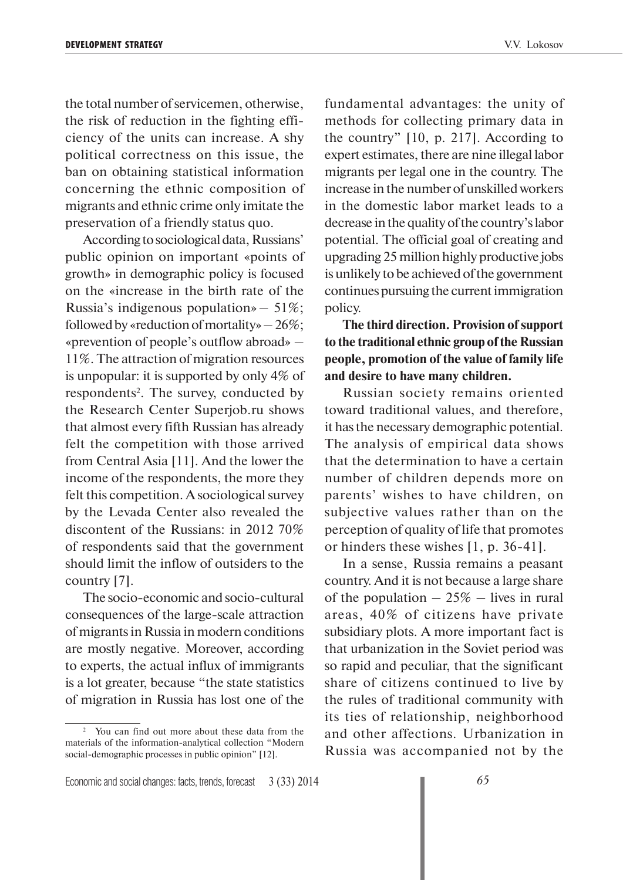the total number of servicemen, otherwise, the risk of reduction in the fighting efficiency of the units can increase. A shy political correctness on this issue, the ban on obtaining statistical information concerning the ethnic composition of migrants and ethnic crime only imitate the preservation of a friendly status quo.

According to sociological data, Russians' public opinion on important «points of growth» in demographic policy is focused on the «increase in the birth rate of the Russia's indigenous population  $\ast$  – 51%; followed by «reduction of mortality»  $-26\%$ ; «prevention of people's outflow abroad» – 11%. The attraction of migration resources is unpopular: it is supported by only 4% of respondents<sup>2</sup>. The survey, conducted by the Research Center Superjob.ru shows that almost every fifth Russian has already felt the competition with those arrived from Central Asia [11]. And the lower the income of the respondents, the more they felt this competition. A sociological survey by the Levada Center also revealed the discontent of the Russians: in 2012 70% of respondents said that the government should limit the inflow of outsiders to the country [7].

The socio-economic and socio-cultural consequences of the large-scale attraction of migrants in Russia in modern conditions are mostly negative. Moreover, according to experts, the actual influx of immigrants is a lot greater, because "the state statistics of migration in Russia has lost one of the

fundamental advantages: the unity of methods for collecting primary data in the country" [10, p. 217]. According to expert estimates, there are nine illegal labor migrants per legal one in the country. The increase in the number of unskilled workers in the domestic labor market leads to a decrease in the quality of the country's labor potential. The official goal of creating and upgrading 25 million highly productive jobs is unlikely to be achieved of the government continues pursuing the current immigration policy.

**The third direction. Provision of support to the traditional ethnic group of the Russian people, promotion of the value of family life and desire to have many children.**

Russian society remains oriented toward traditional values, and therefore, it has the necessary demographic potential. The analysis of empirical data shows that the determination to have a certain number of children depends more on parents' wishes to have children, on subjective values rather than on the perception of quality of life that promotes or hinders these wishes [1, p. 36-41].

In a sense, Russia remains a peasant country. And it is not because a large share of the population  $-25\%$  – lives in rural areas, 40% of citizens have private subsidiary plots. A more important fact is that urbanization in the Soviet period was so rapid and peculiar, that the significant share of citizens continued to live by the rules of traditional community with its ties of relationship, neighborhood and other affections. Urbanization in Russia was accompanied not by the

<sup>2</sup> You can find out more about these data from the materials of the information-analytical collection "Modern social-demographic processes in public opinion" [12].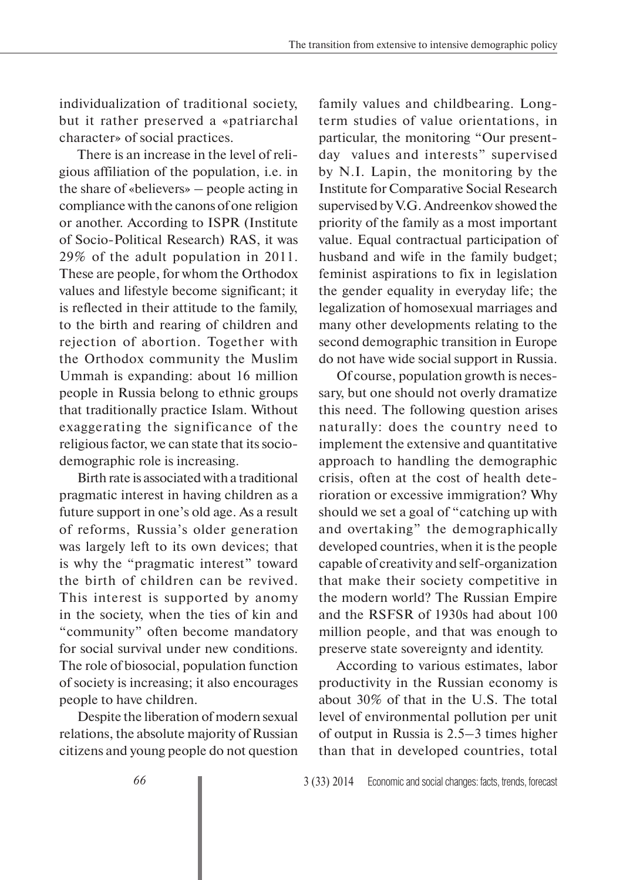individualization of traditional society, but it rather preserved a «patriarchal character» of social practices.

There is an increase in the level of religious affiliation of the population, i.e. in the share of «believers» – people acting in compliance with the canons of one religion or another. According to ISPR (Institute of Socio-Political Research) RAS, it was 29% of the adult population in 2011. These are people, for whom the Orthodox values and lifestyle become significant; it is reflected in their attitude to the family, to the birth and rearing of children and rejection of abortion. Together with the Orthodox community the Muslim Ummah is expanding: about 16 million people in Russia belong to ethnic groups that traditionally practice Islam. Without exaggerating the significance of the religious factor, we can state that its sociodemographic role is increasing.

Birth rate is associated with a traditional pragmatic interest in having children as a future support in one's old age. As a result of reforms, Russia's older generation was largely left to its own devices; that is why the "pragmatic interest" toward the birth of children can be revived. This interest is supported by anomy in the society, when the ties of kin and "community" often become mandatory for social survival under new conditions. The role of biosocial, population function of society is increasing; it also encourages people to have children.

Despite the liberation of modern sexual relations, the absolute majority of Russian citizens and young people do not question family values and childbearing. Longterm studies of value orientations, in particular, the monitoring "Our presentday values and interests" supervised by N.I. Lapin, the monitoring by the Institute for Comparative Social Research supervised by V.G. Andreenkov showed the priority of the family as a most important value. Equal contractual participation of husband and wife in the family budget; feminist aspirations to fix in legislation the gender equality in everyday life; the legalization of homosexual marriages and many other developments relating to the second demographic transition in Europe do not have wide social support in Russia.

Of course, population growth is necessary, but one should not overly dramatize this need. The following question arises naturally: does the country need to implement the extensive and quantitative approach to handling the demographic crisis, often at the cost of health deterioration or excessive immigration? Why should we set a goal of "catching up with and overtaking" the demographically developed countries, when it is the people capable of creativity and self-organization that make their society competitive in the modern world? The Russian Empire and the RSFSR of 1930s had about 100 million people, and that was enough to preserve state sovereignty and identity.

According to various estimates, labor productivity in the Russian economy is about 30% of that in the U.S. The total level of environmental pollution per unit of output in Russia is 2.5–3 times higher than that in developed countries, total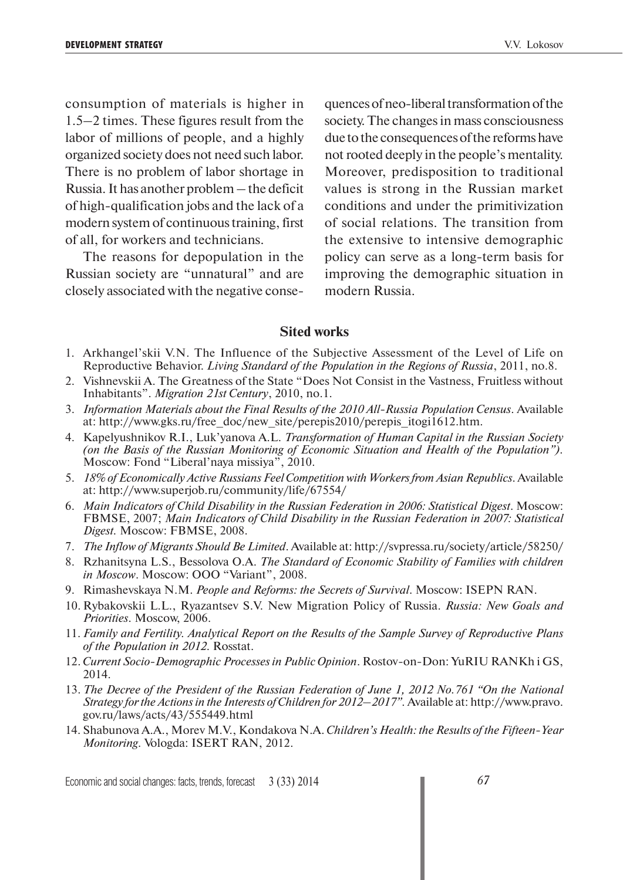consumption of materials is higher in 1.5–2 times. These figures result from the labor of millions of people, and a highly organized society does not need such labor. There is no problem of labor shortage in Russia. It has another problem – the deficit of high-qualification jobs and the lack of a modern system of continuous training, first of all, for workers and technicians.

The reasons for depopulation in the Russian society are "unnatural" and are closely associated with the negative consequences of neo-liberal transformation of the society. The changes in mass consciousness due to the consequences of the reforms have not rooted deeply in the people's mentality. Moreover, predisposition to traditional values is strong in the Russian market conditions and under the primitivization of social relations. The transition from the extensive to intensive demographic policy can serve as a long-term basis for improving the demographic situation in modern Russia.

#### **Sited works**

- 1. Arkhangel'skii V.N. The Influence of the Subjective Assessment of the Level of Life on Reproductive Behavior. *Living Standard of the Population in the Regions of Russia*, 2011, no.8.
- 2. Vishnevskii A. The Greatness of the State "Does Not Consist in the Vastness, Fruitless without Inhabitants". *Migration 21st Century*, 2010, no.1.
- 3. *Information Materials about the Final Results of the 2010 All-Russia Population Census*. Available at: http://www.gks.ru/free\_doc/new\_site/perepis2010/perepis\_itogi1612.htm.
- 4. Kapelyushnikov R.I., Luk'yanova A.L. *Transformation of Human Capital in the Russian Society (on the Basis of the Russian Monitoring of Economic Situation and Health of the Population").*  Moscow: Fond "Liberal'naya missiya", 2010.
- 5. *18% of Economically Active Russians Feel Competition with Workers from Asian Republics*. Available at: http://www.superjob.ru/community/life/67554/
- 6. *Main Indicators of Child Disability in the Russian Federation in 2006: Statistical Digest*. Moscow: FBMSE, 2007; *Main Indicators of Child Disability in the Russian Federation in 2007: Statistical Digest.* Moscow: FBMSE, 2008.
- 7. *The Inflow of Migrants Should Be Limited*. Available at: http://svpressa.ru/society/article/58250/
- 8. Rzhanitsyna L.S., Bessolova O.A. *The Standard of Economic Stability of Families with children in Moscow*. Moscow: OOO "Variant", 2008.
- 9. Rimashevskaya N.M. *People and Reforms: the Secrets of Survival*. Moscow: ISEPN RAN.
- 10. Rybakovskii L.L., Ryazantsev S.V. New Migration Policy of Russia. *Russia: New Goals and Priorities*. Moscow, 2006.
- 11. *Family and Fertility. Analytical Report on the Results of the Sample Survey of Reproductive Plans of the Population in 2012*. Rosstat.
- 12. *Current Socio-Demographic Processes in Public Opinion*. Rostov-on-Don: YuRIU RANKh i GS, 2014.
- 13. *The Decree of the President of the Russian Federation of June 1, 2012 No.761 "On the National Strategy for the Actions in the Interests of Children for 2012–2017".* Available at: http://www.pravo. gov.ru/laws/acts/43/555449.html
- 14. Shabunova A.A., Morev M.V., Kondakova N.A. *Children's Health: the Results of the Fifteen-Year Monitoring*. Vologda: ISERT RAN, 2012.

Economic and social changes: facts, trends, forecast 3 (33) 2014